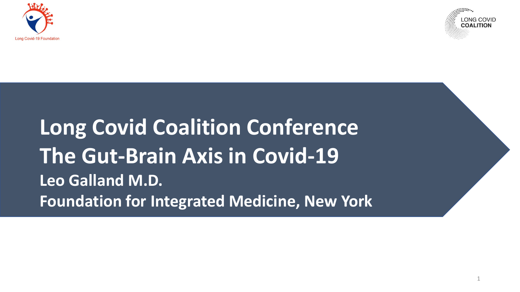



### **Long Covid Coalition Conference The Gut-Brain Axis in Covid-19 Leo Galland M.D. Foundation for Integrated Medicine, New York**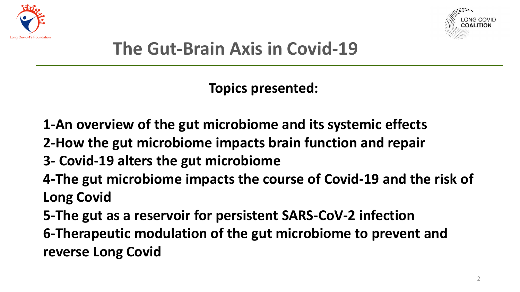



#### **The Gut-Brain Axis in Covid-19**

**Topics presented:**

- **1-An overview of the gut microbiome and its systemic effects**
- **2-How the gut microbiome impacts brain function and repair**
- **3- Covid-19 alters the gut microbiome**
- **4-The gut microbiome impacts the course of Covid-19 and the risk of Long Covid**
- **5-The gut as a reservoir for persistent SARS-CoV-2 infection**
- **6-Therapeutic modulation of the gut microbiome to prevent and reverse Long Covid**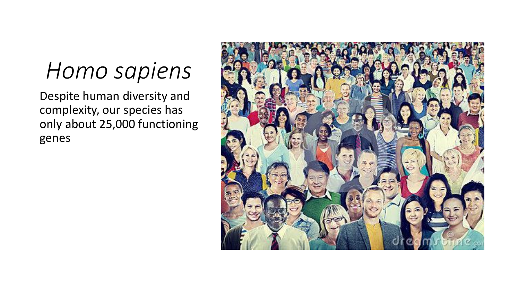# *Homo sapiens*

Despite human diversity and complexity, our species has only about 25,000 functioning genes

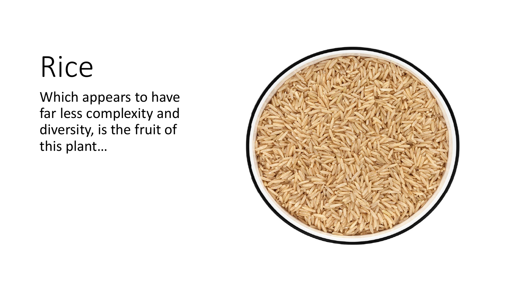# Rice

Which appears to have far less complexity and diversity, is the fruit of this plant…

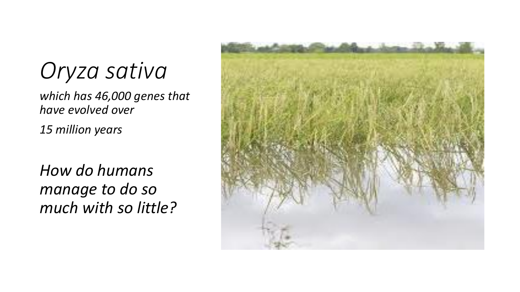# *Oryza sativa*

*which has 46,000 genes that have evolved over*

*15 million years*

*How do humans manage to do so much with so little?*

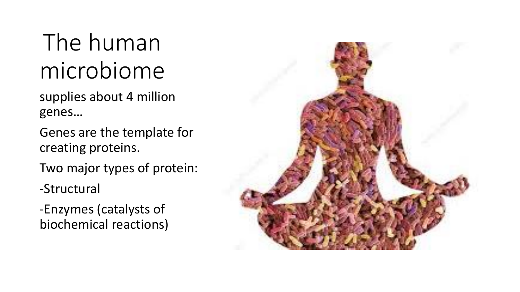# The human microbiome

supplies about 4 million genes…

Genes are the template for creating proteins.

Two major types of protein:

-Structural

-Enzymes (catalysts of biochemical reactions)

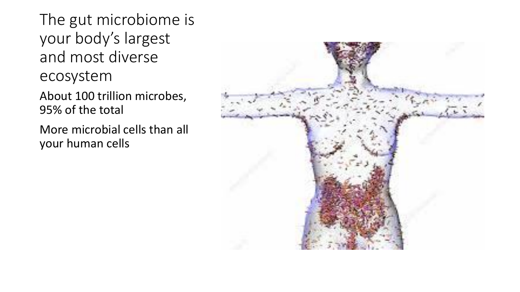The gut microbiome is your body's largest and most diverse ecosystem

About 100 trillion microbes, 95% of the total

More microbial cells than all your human cells

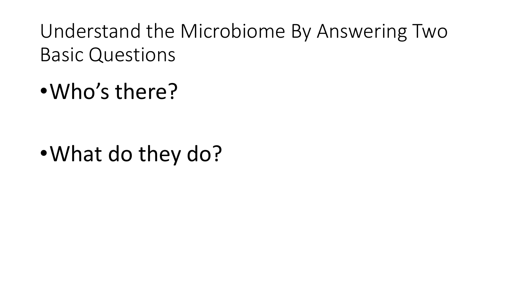Understand the Microbiome By Answering Two Basic Questions

•Who's there?

•What do they do?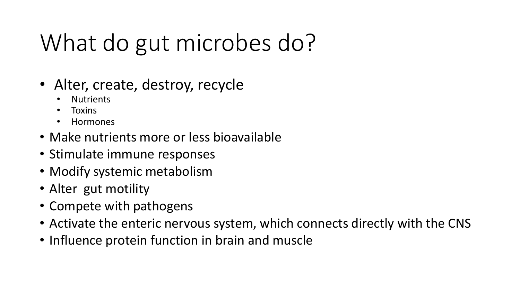# What do gut microbes do?

- Alter, create, destroy, recycle
	- **Nutrients**
	- **Toxins**
	- Hormones
- Make nutrients more or less bioavailable
- Stimulate immune responses
- Modify systemic metabolism
- Alter gut motility
- Compete with pathogens
- Activate the enteric nervous system, which connects directly with the CNS
- Influence protein function in brain and muscle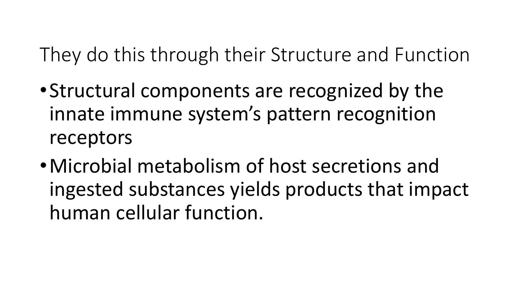They do this through their Structure and Function

- •Structural components are recognized by the innate immune system's pattern recognition receptors
- •Microbial metabolism of host secretions and ingested substances yields products that impact human cellular function.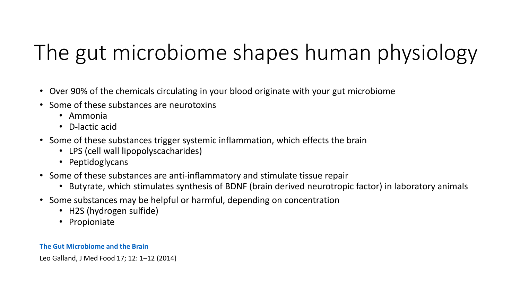# The gut microbiome shapes human physiology

- Over 90% of the chemicals circulating in your blood originate with your gut microbiome
- Some of these substances are neurotoxins
	- Ammonia
	- D-lactic acid
- Some of these substances trigger systemic inflammation, which effects the brain
	- LPS (cell wall lipopolyscacharides)
	- Peptidoglycans
- Some of these substances are anti-inflammatory and stimulate tissue repair
	- Butyrate, which stimulates synthesis of BDNF (brain derived neurotropic factor) in laboratory animals
- Some substances may be helpful or harmful, depending on concentration
	- H2S (hydrogen sulfide)
	- Propioniate

#### **[The Gut Microbiome](https://www.ncbi.nlm.nih.gov/pmc/articles/PMC4259177/) and the Brain**

Leo Galland, J Med Food 17; 12: 1–12 (2014)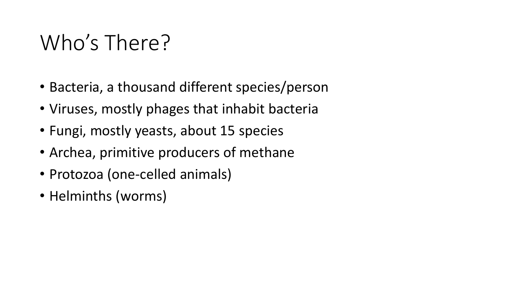# Who's There?

- Bacteria, a thousand different species/person
- Viruses, mostly phages that inhabit bacteria
- Fungi, mostly yeasts, about 15 species
- Archea, primitive producers of methane
- Protozoa (one-celled animals)
- Helminths (worms)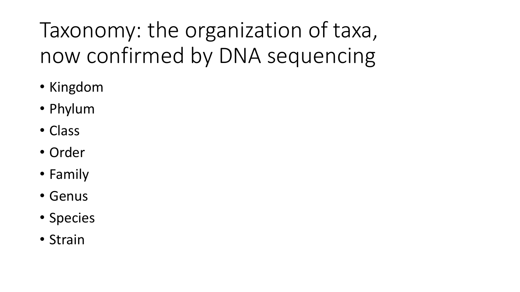Taxonomy: the organization of taxa, now confirmed by DNA sequencing

- Kingdom
- Phylum
- Class
- Order
- Family
- Genus
- Species
- Strain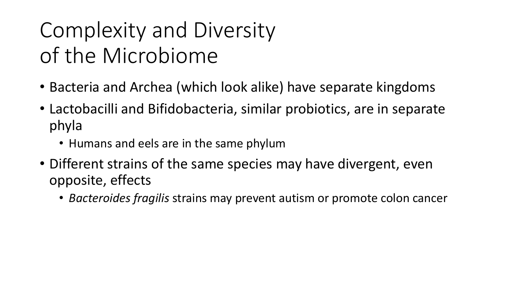# Complexity and Diversity of the Microbiome

- Bacteria and Archea (which look alike) have separate kingdoms
- Lactobacilli and Bifidobacteria, similar probiotics, are in separate phyla
	- Humans and eels are in the same phylum
- Different strains of the same species may have divergent, even opposite, effects
	- *Bacteroides fragilis* strains may prevent autism or promote colon cancer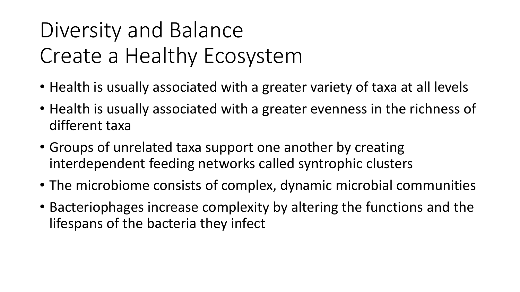# Diversity and Balance Create a Healthy Ecosystem

- Health is usually associated with a greater variety of taxa at all levels
- Health is usually associated with a greater evenness in the richness of different taxa
- Groups of unrelated taxa support one another by creating interdependent feeding networks called syntrophic clusters
- The microbiome consists of complex, dynamic microbial communities
- Bacteriophages increase complexity by altering the functions and the lifespans of the bacteria they infect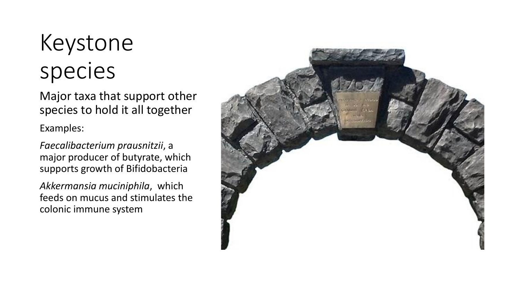# Keystone species

Major taxa that support other species to hold it all together

Examples:

*Faecalibacterium prausnitzii*, a major producer of butyrate, which supports growth of Bifidobacteria

*Akkermansia muciniphila*, which feeds on mucus and stimulates the colonic immune system

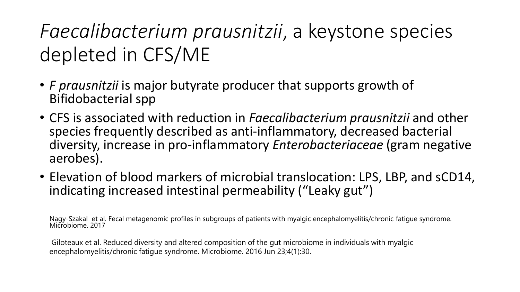### *Faecalibacterium prausnitzii*, a keystone species depleted in CFS/ME

- *F prausnitzii* is major butyrate producer that supports growth of Bifidobacterial spp
- CFS is associated with reduction in *Faecalibacterium prausnitzii* and other species frequently described as anti-inflammatory, decreased bacterial diversity, increase in pro-inflammatory *Enterobacteriaceae* (gram negative aerobes).
- Elevation of blood markers of microbial translocation: LPS, LBP, and sCD14, indicating increased intestinal permeability ("Leaky gut")

Nagy-Szakal et al. Fecal metagenomic profiles in subgroups of patients with myalgic encephalomyelitis/chronic fatigue syndrome. Microbiome. 2017

Giloteaux et al. Reduced diversity and altered composition of the gut microbiome in individuals with myalgic encephalomyelitis/chronic fatigue syndrome. Microbiome. 2016 Jun 23;4(1):30.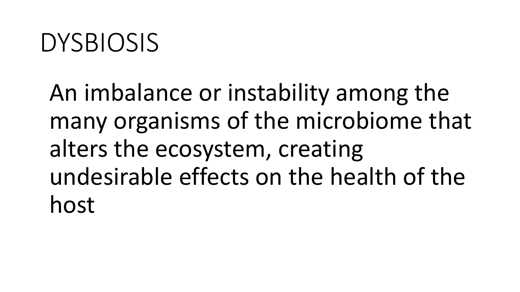# DYSBIOSIS

An imbalance or instability among the many organisms of the microbiome that alters the ecosystem, creating undesirable effects on the health of the host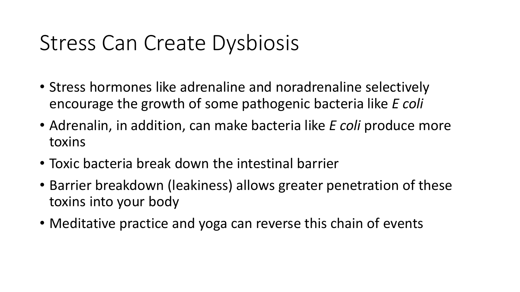# Stress Can Create Dysbiosis

- Stress hormones like adrenaline and noradrenaline selectively encourage the growth of some pathogenic bacteria like *E coli*
- Adrenalin, in addition, can make bacteria like *E coli* produce more toxins
- Toxic bacteria break down the intestinal barrier
- Barrier breakdown (leakiness) allows greater penetration of these toxins into your body
- Meditative practice and yoga can reverse this chain of events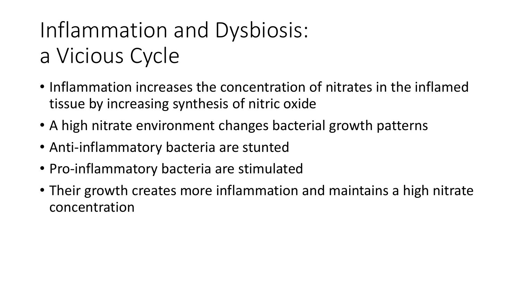# Inflammation and Dysbiosis: a Vicious Cycle

- Inflammation increases the concentration of nitrates in the inflamed tissue by increasing synthesis of nitric oxide
- A high nitrate environment changes bacterial growth patterns
- Anti-inflammatory bacteria are stunted
- Pro-inflammatory bacteria are stimulated
- Their growth creates more inflammation and maintains a high nitrate concentration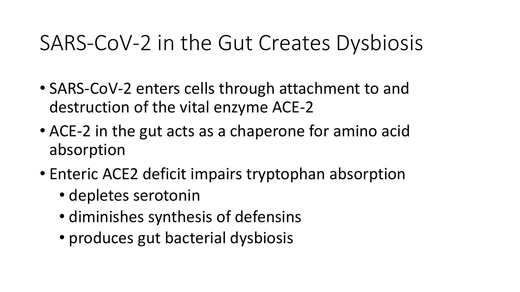### SARS-CoV-2 in the Gut Creates Dysbiosis

- SARS-CoV-2 enters cells through attachment to and destruction of the vital enzyme ACE-2
- ACE-2 in the gut acts as a chaperone for amino acid absorption
- Enteric ACE2 deficit impairs tryptophan absorption
	- depletes serotonin
	- diminishes synthesis of defensins
	- produces gut bacterial dysbiosis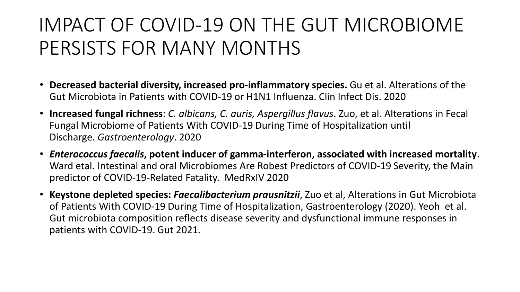### IMPACT OF COVID-19 ON THE GUT MICROBIOME PERSISTS FOR MANY MONTHS

- **Decreased bacterial diversity, increased pro-inflammatory species.** Gu et al. Alterations of the Gut Microbiota in Patients with COVID-19 or H1N1 Influenza. Clin Infect Dis. 2020
- **Increased fungal richness**: *C. albicans, C. auris, Aspergillus flavus*. Zuo, et al. Alterations in Fecal Fungal Microbiome of Patients With COVID-19 During Time of Hospitalization until Discharge. *Gastroenterology*. 2020
- *Enterococcus faecalis***, potent inducer of gamma-interferon, associated with increased mortality**. Ward etal. Intestinal and oral Microbiomes Are Robest Predictors of COVID-19 Severity, the Main predictor of COVID-19-Related Fatality. MedRxIV 2020
- **Keystone depleted species:** *Faecalibacterium prausnitzii*, Zuo et al, Alterations in Gut Microbiota of Patients With COVID-19 During Time of Hospitalization, Gastroenterology (2020). Yeoh et al. Gut microbiota composition reflects disease severity and dysfunctional immune responses in patients with COVID-19. Gut 2021.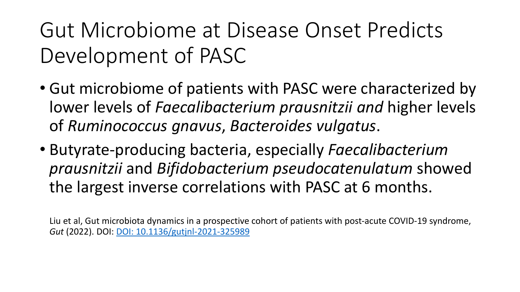Gut Microbiome at Disease Onset Predicts Development of PASC

- Gut microbiome of patients with PASC were characterized by lower levels of *Faecalibacterium prausnitzii and* higher levels of *Ruminococcus gnavus*, *Bacteroides vulgatus*.
- Butyrate-producing bacteria, especially *Faecalibacterium prausnitzii* and *Bifidobacterium pseudocatenulatum* showed the largest inverse correlations with PASC at 6 months.

Liu et al, Gut microbiota dynamics in a prospective cohort of patients with post-acute COVID-19 syndrome, *Gut* (2022). DOI: [DOI: 10.1136/gutjnl-2021-325989](http://dx.doi.org/10.1136/gutjnl-2021-325989)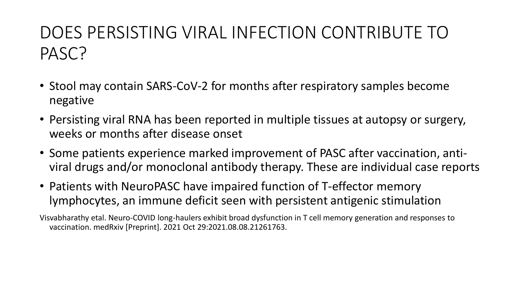#### DOES PERSISTING VIRAL INFECTION CONTRIBUTE TO PASC?

- Stool may contain SARS-CoV-2 for months after respiratory samples become negative
- Persisting viral RNA has been reported in multiple tissues at autopsy or surgery, weeks or months after disease onset
- Some patients experience marked improvement of PASC after vaccination, antiviral drugs and/or monoclonal antibody therapy. These are individual case reports
- Patients with NeuroPASC have impaired function of T-effector memory lymphocytes, an immune deficit seen with persistent antigenic stimulation

Visvabharathy etal. Neuro-COVID long-haulers exhibit broad dysfunction in T cell memory generation and responses to vaccination. medRxiv [Preprint]. 2021 Oct 29:2021.08.08.21261763.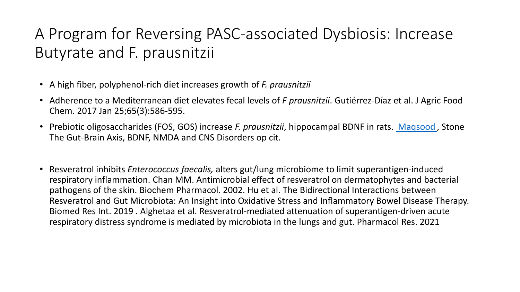#### A Program for Reversing PASC-associated Dysbiosis: Increase Butyrate and F. prausnitzii

- A high fiber, polyphenol-rich diet increases growth of *F. prausnitzii*
- Adherence to a Mediterranean diet elevates fecal levels of *F prausnitzii*. Gutiérrez-Díaz et al. J Agric Food Chem. 2017 Jan 25;65(3):586-595.
- Prebiotic oligosaccharides (FOS, GOS) increase *F. prausnitzii*, hippocampal BDNF in rats. [Maqsood](https://pubmed-ncbi-nlm-nih-gov.proxy.library.stonybrook.edu/?sort=date&term=Maqsood+R&cauthor_id=27553784) , Stone The Gut-Brain Axis, BDNF, NMDA and CNS Disorders op cit.
- Resveratrol inhibits *Enterococcus faecalis,* alters gut/lung microbiome to limit superantigen-induced respiratory inflammation. Chan MM. Antimicrobial effect of resveratrol on dermatophytes and bacterial pathogens of the skin. Biochem Pharmacol. 2002. Hu et al. The Bidirectional Interactions between Resveratrol and Gut Microbiota: An Insight into Oxidative Stress and Inflammatory Bowel Disease Therapy. Biomed Res Int. 2019 . Alghetaa et al. Resveratrol-mediated attenuation of superantigen-driven acute respiratory distress syndrome is mediated by microbiota in the lungs and gut. Pharmacol Res. 2021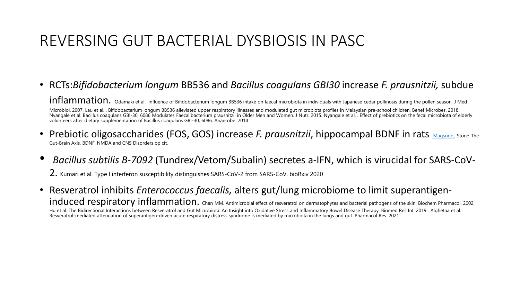#### REVERSING GUT BACTERIAL DYSBIOSIS IN PASC

- RCTs:*Bifidobacterium longum* BB536 and *Bacillus coagulans GBI30* increase *F. prausnitzii,* subdue inflammation. Odamaki et al. Influence of Bifidobacterium longum BB536 intake on faecal microbiota in individuals with Japanese cedar pollinosis during the pollen season. J Med Microbiol. 2007. Lau et al. . Bifidobacterium longum BB536 alleviated upper respiratory illnesses and modulated gut microbiota profiles in Malaysian pre-school children. Benef Microbes. 2018. Nyangale et al. Bacillus coagulans GBI-30, 6086 Modulates Faecalibacterium prausnitzii in Older Men and Women. J Nutr. 2015. Nyangale et al. . Effect of prebiotics on the fecal microbiota of elderly volunteers after dietary supplementation of Bacillus coagulans GBI-30, 6086. Anaerobe. 2014
- **Prebiotic oligosaccharides (FOS, GOS) increase** *F. prausnitzii***, hippocampal BDNF in rats. [Maqsood](https://pubmed-ncbi-nlm-nih-gov.proxy.library.stonybrook.edu/?sort=date&term=Maqsood+R&cauthor_id=27553784), Stone The** Gut-Brain Axis, BDNF, NMDA and CNS Disorders op cit.
- *Bacillus subtilis B-7092* (Tundrex/Vetom/Subalin) secretes a-IFN, which is virucidal for SARS-CoV-

2. Kumari et al. Type I interferon susceptibility distinguishes SARS-CoV-2 from SARS-CoV. bioRxiv <sup>2020</sup>

• Resveratrol inhibits *Enterococcus faecalis,* alters gut/lung microbiome to limit superantigeninduced respiratory inflammation. Chan MM. Antimicrobial effect of resveratrol on dermatophytes and bacterial pathogens of the skin. Biochem Pharmacol. 2002. Hu et al. The Bidirectional Interactions between Resveratrol and Gut Microbiota: An Insight into Oxidative Stress and Inflammatory Bowel Disease Therapy. Biomed Res Int. 2019 . Alghetaa et al. Resveratrol-mediated attenuation of superantigen-driven acute respiratory distress syndrome is mediated by microbiota in the lungs and gut. Pharmacol Res. 2021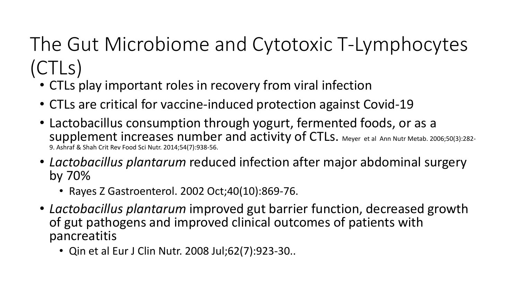### The Gut Microbiome and Cytotoxic T-Lymphocytes (CTLs)

- CTLs play important roles in recovery from viral infection
- CTLs are critical for vaccine-induced protection against Covid-19
- Lactobacillus consumption through yogurt, fermented foods, or as a supplement increases number and activity of CTLs. Meyer et al Ann Nutr Metab. 2006;50(3):282- 9. Ashraf & Shah Crit Rev Food Sci Nutr. 2014;54(7):938-56.
- *Lactobacillus plantarum* reduced infection after major abdominal surgery by 70%
	- Rayes Z Gastroenterol. 2002 Oct;40(10):869-76.
- *Lactobacillus plantarum* improved gut barrier function, decreased growth of gut pathogens and improved clinical outcomes of patients with pancreatitis
	- Qin et al Eur J Clin Nutr. 2008 Jul;62(7):923-30..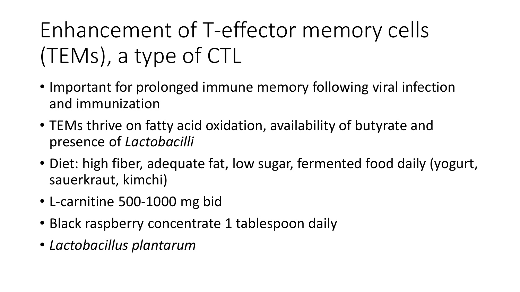# Enhancement of T-effector memory cells (TEMs), a type of CTL

- Important for prolonged immune memory following viral infection and immunization
- TEMs thrive on fatty acid oxidation, availability of butyrate and presence of *Lactobacilli*
- Diet: high fiber, adequate fat, low sugar, fermented food daily (yogurt, sauerkraut, kimchi)
- L-carnitine 500-1000 mg bid
- Black raspberry concentrate 1 tablespoon daily
- *Lactobacillus plantarum*